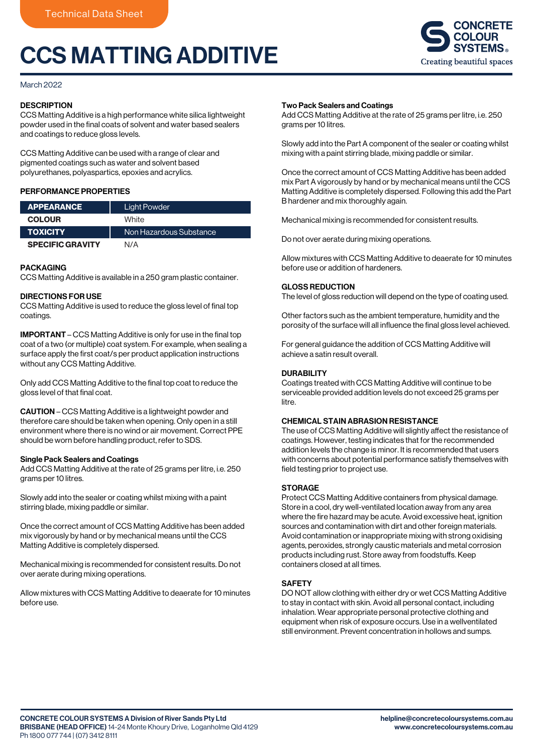# CCS MATTING ADDITIVE



## March 2022

## **DESCRIPTION**

CCS Matting Additive is a high performance white silica lightweight powder used in the final coats of solvent and water based sealers and coatings to reduce gloss levels.

CCS Matting Additive can be used with a range of clear and pigmented coatings such as water and solvent based polyurethanes, polyaspartics, epoxies and acrylics.

# PERFORMANCE PROPERTIES

| <b>APPEARANCE</b>       | Light Powder            |
|-------------------------|-------------------------|
| <b>COLOUR</b>           | White                   |
| <b>TOXICITY</b>         | Non Hazardous Substance |
| <b>SPECIFIC GRAVITY</b> | N/A                     |

## **PACKAGING**

CCS Matting Additive is available in a 250 gram plastic container.

#### DIRECTIONS FOR USE

CCS Matting Additive is used to reduce the gloss level of final top coatings.

IMPORTANT – CCS Matting Additive is only for use in the final top coat of a two (or multiple) coat system. For example, when sealing a surface apply the first coat/s per product application instructions without any CCS Matting Additive.

Only add CCS Matting Additive to the final top coat to reduce the gloss level of that final coat.

CAUTION – CCS Matting Additive is a lightweight powder and therefore care should be taken when opening. Only open in a still environment where there is no wind or air movement. Correct PPE should be worn before handling product, refer to SDS.

## Single Pack Sealers and Coatings

Add CCS Matting Additive at the rate of 25 grams per litre, i.e. 250 grams per 10 litres.

Slowly add into the sealer or coating whilst mixing with a paint stirring blade, mixing paddle or similar.

Once the correct amount of CCS Matting Additive has been added mix vigorously by hand or by mechanical means until the CCS Matting Additive is completely dispersed.

Mechanical mixing is recommended for consistent results. Do not over aerate during mixing operations.

Allow mixtures with CCS Matting Additive to deaerate for 10 minutes before use.

#### Two Pack Sealers and Coatings

Add CCS Matting Additive at the rate of 25 grams per litre, i.e. 250 grams per 10 litres.

Slowly add into the Part A component of the sealer or coating whilst mixing with a paint stirring blade, mixing paddle or similar.

Once the correct amount of CCS Matting Additive has been added mix Part A vigorously by hand or by mechanical means until the CCS Matting Additive is completely dispersed. Following this add the Part B hardener and mix thoroughly again.

Mechanical mixing is recommended for consistent results.

Do not over aerate during mixing operations.

Allow mixtures with CCS Matting Additive to deaerate for 10 minutes before use or addition of hardeners.

#### GLOSS REDUCTION

The level of gloss reduction will depend on the type of coating used.

Other factors such as the ambient temperature, humidity and the porosity of the surface will all influence the final gloss level achieved.

For general guidance the addition of CCS Matting Additive will achieve a satin result overall.

# DURABILITY

Coatings treated with CCS Matting Additive will continue to be serviceable provided addition levels do not exceed 25 grams per litre.

## CHEMICAL STAIN ABRASION RESISTANCE

The use of CCS Matting Additive will slightly affect the resistance of coatings. However, testing indicates that for the recommended addition levels the change is minor. It is recommended that users with concerns about potential performance satisfy themselves with field testing prior to project use.

# **STORAGE**

Protect CCS Matting Additive containers from physical damage. Store in a cool, dry well-ventilated location away from any area where the fire hazard may be acute. Avoid excessive heat, ignition sources and contamination with dirt and other foreign materials. Avoid contamination or inappropriate mixing with strong oxidising agents, peroxides, strongly caustic materials and metal corrosion products including rust. Store away from foodstuffs. Keep containers closed at all times.

## **SAFFTY**

DO NOT allow clothing with either dry or wet CCS Matting Additive to stay in contact with skin. Avoid all personal contact, including inhalation. Wear appropriate personal protective clothing and equipment when risk of exposure occurs. Use in a wellventilated still environment. Prevent concentration in hollows and sumps.